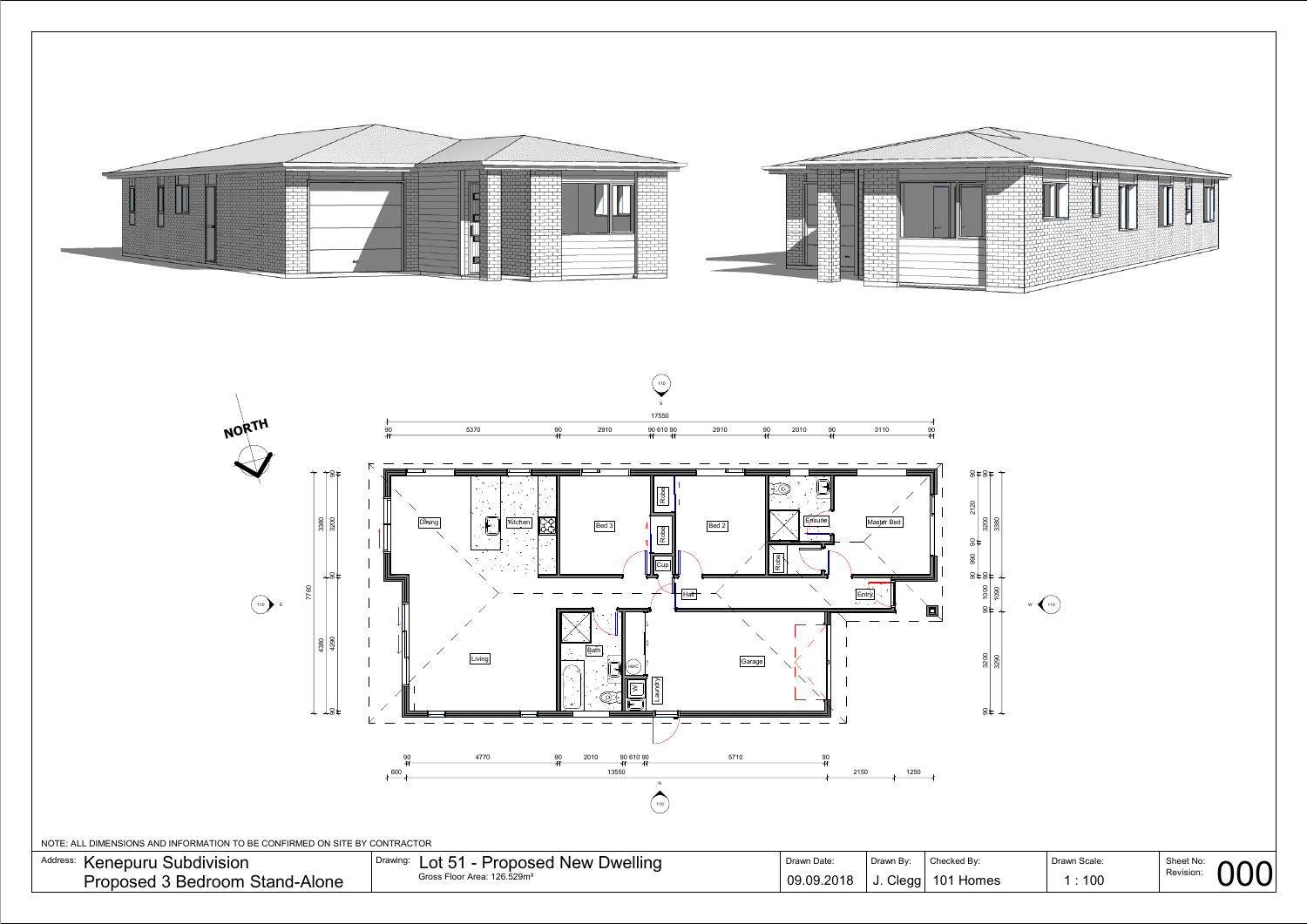



| $\sim$ $\sim$ $\sim$ | Kenep<br><b>Subdivision</b><br>:DUITU | <b>Dwelling</b><br>$\sim$<br>$\sim$<br>א<br>—∪∙<br>. . | <b><i>Jrawn Date</i></b> |       | ⊿iecked Bv  | Drawn Scale:    | ChachN <sub>a</sub> |
|----------------------|---------------------------------------|--------------------------------------------------------|--------------------------|-------|-------------|-----------------|---------------------|
| $\mathbf{L}$<br>ັບ   | Stand<br>d-Alone<br>Proposer<br>nom   | <sup>ი</sup> 6.529m                                    | 2018<br>09.              | Clead | 10<br>Home: | 10 <sup>C</sup> | Revision:           |

NOTE: ALL DIMENSIONS AND INFORMATION TO BE CONFIRMED ON SITE BY CONTRACTOR

Address: Kenepuru Subdivision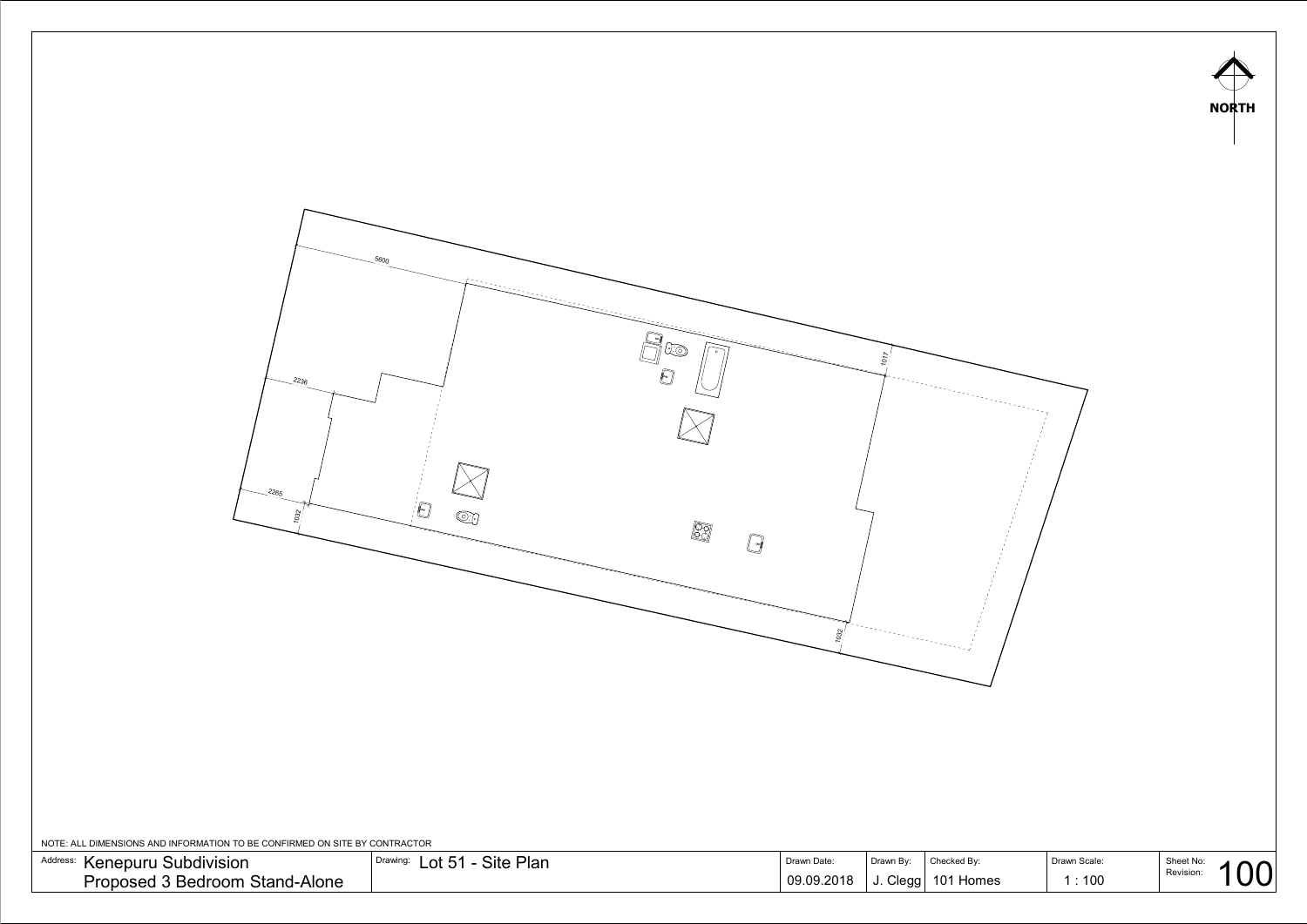

NOTE: ALL DIMENSIONS AND INFORMATION TO BE CONFIRMED ON SITE BY CONTRACTOR

| Address:<br>↑ Kenepuru Subdivision | Site Plan<br>Drawing:<br>$\bigcap$ $\bigcap$ $\bigcap$<br>ー) | Drawn Date | rawn Bv |           |      | Sheet No: |
|------------------------------------|--------------------------------------------------------------|------------|---------|-----------|------|-----------|
| Proposed 3 Bedroom Stand-Alone     |                                                              | 09.09.2018 | Clegg   | 101 Homes | :100 | Revision: |

| 3۷.  | Drawn Scale:  | Sheet No: |  |
|------|---------------|-----------|--|
| omes | $1 \cdot 100$ | Revision: |  |



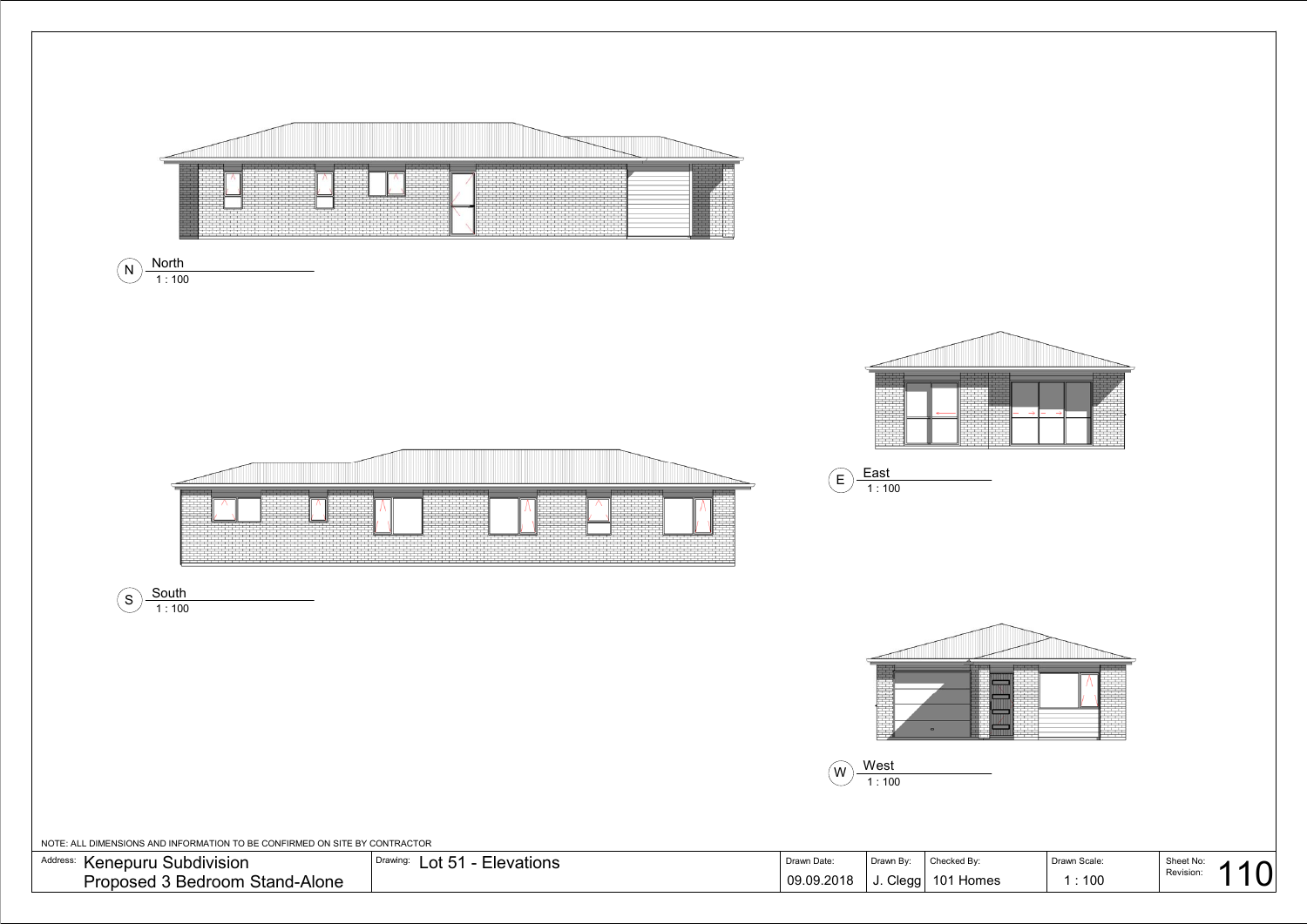|     | Drawn Scale: | Sheet No: | Л |  |
|-----|--------------|-----------|---|--|
| nes | $\div$ 100   | Revision: |   |  |

<span id="page-2-0"></span>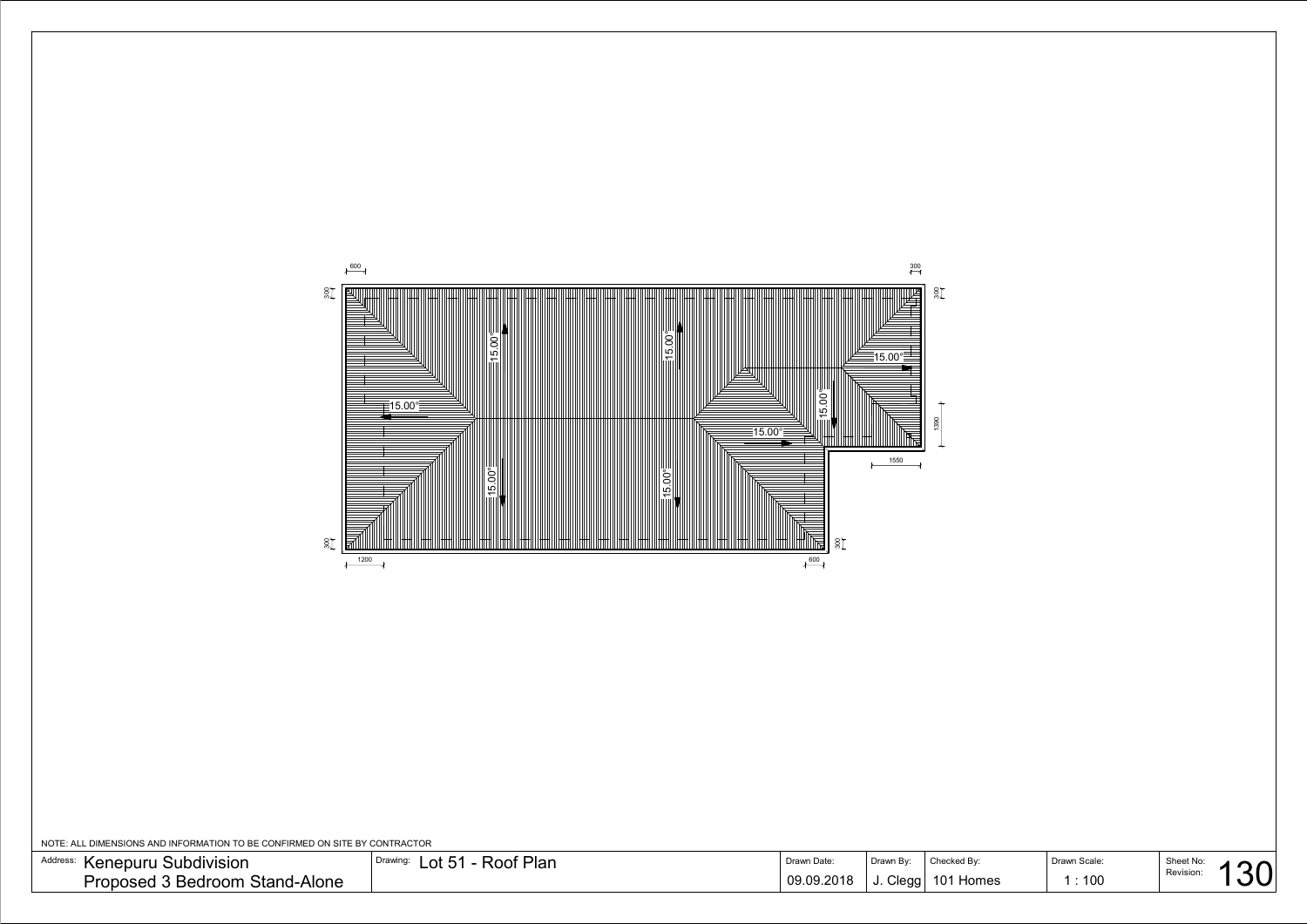

NOTE: ALL DIMENSIONS AND INFORMATION TO BE CONFIRMED ON SITE BY CONTRACTOR

| Address:<br>Subdivision<br>Kenepuru  | Roof Plan<br>$\mathsf{nt}$ 51<br>Drawing: | Drawn Date | Checked By<br>Drawn By: | <b>Drawn Scale:</b> | $Ch$ oot No $\cdot$ |
|--------------------------------------|-------------------------------------------|------------|-------------------------|---------------------|---------------------|
| Proposed<br>l 3 Bedroom Stand-Alone_ |                                           | 09.09.2018 | Cleaal<br>101 Homes     | : 100               | Revision.           |

| nes | Drawn Scale:<br>1:100 | Sheet No:<br>Revision: |  |
|-----|-----------------------|------------------------|--|
|     |                       |                        |  |